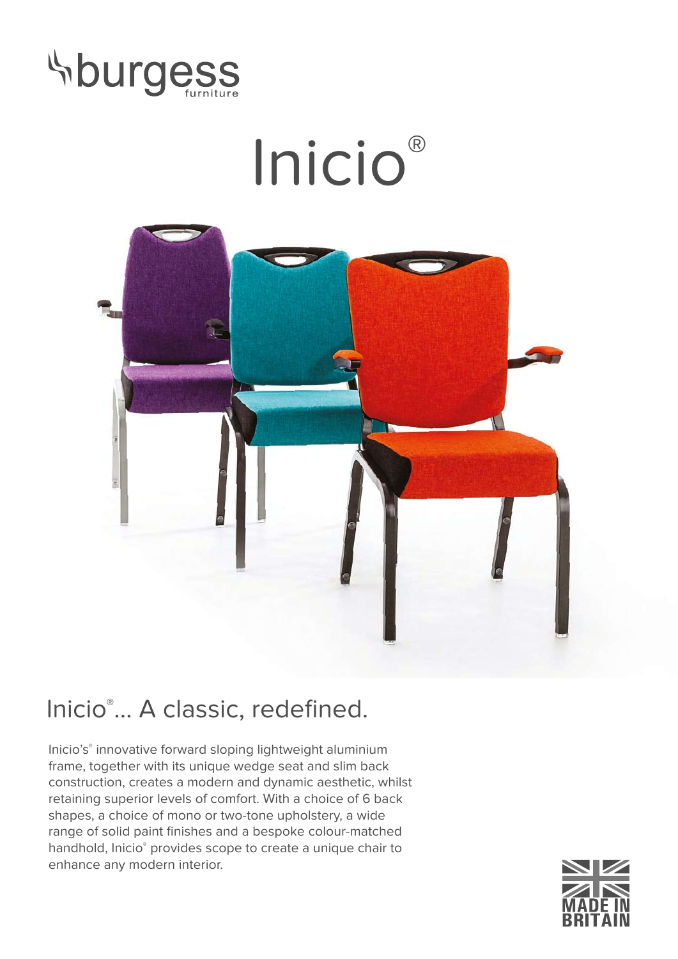

## Inicio®



## Inicio® ... A classic, redefined.

Inicio's® innovative forward sloping lightweight aluminium frame, together with its unique wedge seat and slim back construction, creates a modern and dynamic aesthetic, whilst retaining superior levels of comfort. With a choice of 6 back shapes, a choice of mono or two-tone upholstery, a wide range of solid paint finishes and a bespoke colour-matched handhold, Inicio® provides scope to create a unique chair to enhance any modern interior.